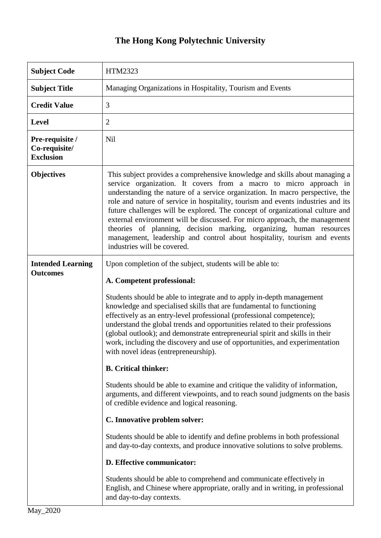## **The Hong Kong Polytechnic University**

| <b>Subject Code</b>                                  | HTM2323                                                                                                                                                                                                                                                                                                                                                                                                                                                                                                                                                                                                                                                                                                                                                                                                                                                                                                                                                                                                                                                                                                                                                        |
|------------------------------------------------------|----------------------------------------------------------------------------------------------------------------------------------------------------------------------------------------------------------------------------------------------------------------------------------------------------------------------------------------------------------------------------------------------------------------------------------------------------------------------------------------------------------------------------------------------------------------------------------------------------------------------------------------------------------------------------------------------------------------------------------------------------------------------------------------------------------------------------------------------------------------------------------------------------------------------------------------------------------------------------------------------------------------------------------------------------------------------------------------------------------------------------------------------------------------|
| <b>Subject Title</b>                                 | Managing Organizations in Hospitality, Tourism and Events                                                                                                                                                                                                                                                                                                                                                                                                                                                                                                                                                                                                                                                                                                                                                                                                                                                                                                                                                                                                                                                                                                      |
| <b>Credit Value</b>                                  | 3                                                                                                                                                                                                                                                                                                                                                                                                                                                                                                                                                                                                                                                                                                                                                                                                                                                                                                                                                                                                                                                                                                                                                              |
| <b>Level</b>                                         | $\overline{2}$                                                                                                                                                                                                                                                                                                                                                                                                                                                                                                                                                                                                                                                                                                                                                                                                                                                                                                                                                                                                                                                                                                                                                 |
| Pre-requisite /<br>Co-requisite/<br><b>Exclusion</b> | <b>Nil</b>                                                                                                                                                                                                                                                                                                                                                                                                                                                                                                                                                                                                                                                                                                                                                                                                                                                                                                                                                                                                                                                                                                                                                     |
| <b>Objectives</b>                                    | This subject provides a comprehensive knowledge and skills about managing a<br>service organization. It covers from a macro to micro approach in<br>understanding the nature of a service organization. In macro perspective, the<br>role and nature of service in hospitality, tourism and events industries and its<br>future challenges will be explored. The concept of organizational culture and<br>external environment will be discussed. For micro approach, the management<br>theories of planning, decision marking, organizing, human resources<br>management, leadership and control about hospitality, tourism and events<br>industries will be covered.                                                                                                                                                                                                                                                                                                                                                                                                                                                                                         |
| <b>Intended Learning</b><br><b>Outcomes</b>          | Upon completion of the subject, students will be able to:<br>A. Competent professional:<br>Students should be able to integrate and to apply in-depth management<br>knowledge and specialised skills that are fundamental to functioning<br>effectively as an entry-level professional (professional competence);<br>understand the global trends and opportunities related to their professions<br>(global outlook); and demonstrate entrepreneurial spirit and skills in their<br>work, including the discovery and use of opportunities, and experimentation<br>with novel ideas (entrepreneurship).<br><b>B.</b> Critical thinker:<br>Students should be able to examine and critique the validity of information,<br>arguments, and different viewpoints, and to reach sound judgments on the basis<br>of credible evidence and logical reasoning.<br>C. Innovative problem solver:<br>Students should be able to identify and define problems in both professional<br>and day-to-day contexts, and produce innovative solutions to solve problems.<br>D. Effective communicator:<br>Students should be able to comprehend and communicate effectively in |
|                                                      | English, and Chinese where appropriate, orally and in writing, in professional<br>and day-to-day contexts.                                                                                                                                                                                                                                                                                                                                                                                                                                                                                                                                                                                                                                                                                                                                                                                                                                                                                                                                                                                                                                                     |